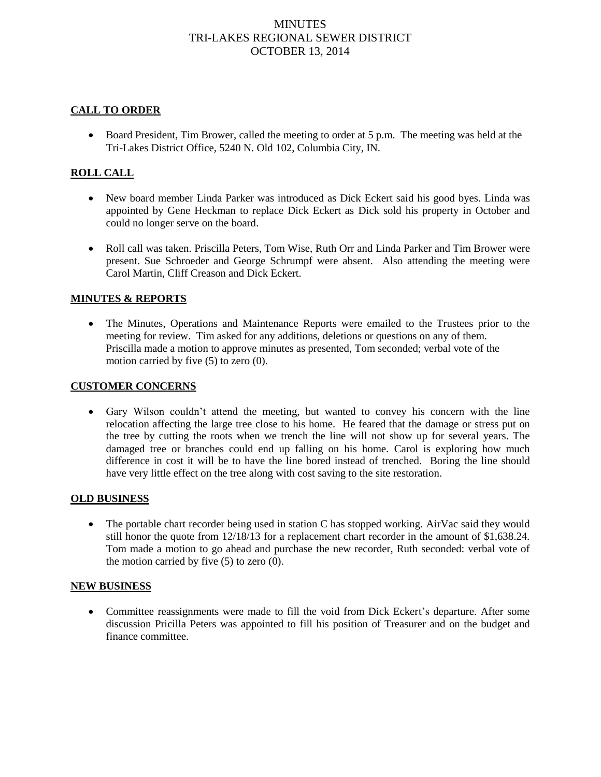# **MINUTES** TRI-LAKES REGIONAL SEWER DISTRICT OCTOBER 13, 2014

## **CALL TO ORDER**

 Board President, Tim Brower, called the meeting to order at 5 p.m. The meeting was held at the Tri-Lakes District Office, 5240 N. Old 102, Columbia City, IN.

## **ROLL CALL**

- New board member Linda Parker was introduced as Dick Eckert said his good byes. Linda was appointed by Gene Heckman to replace Dick Eckert as Dick sold his property in October and could no longer serve on the board.
- Roll call was taken. Priscilla Peters, Tom Wise, Ruth Orr and Linda Parker and Tim Brower were present. Sue Schroeder and George Schrumpf were absent. Also attending the meeting were Carol Martin, Cliff Creason and Dick Eckert.

### **MINUTES & REPORTS**

 The Minutes, Operations and Maintenance Reports were emailed to the Trustees prior to the meeting for review. Tim asked for any additions, deletions or questions on any of them. Priscilla made a motion to approve minutes as presented, Tom seconded; verbal vote of the motion carried by five (5) to zero (0).

#### **CUSTOMER CONCERNS**

 Gary Wilson couldn't attend the meeting, but wanted to convey his concern with the line relocation affecting the large tree close to his home. He feared that the damage or stress put on the tree by cutting the roots when we trench the line will not show up for several years. The damaged tree or branches could end up falling on his home. Carol is exploring how much difference in cost it will be to have the line bored instead of trenched. Boring the line should have very little effect on the tree along with cost saving to the site restoration.

#### **OLD BUSINESS**

• The portable chart recorder being used in station C has stopped working. AirVac said they would still honor the quote from 12/18/13 for a replacement chart recorder in the amount of \$1,638.24. Tom made a motion to go ahead and purchase the new recorder, Ruth seconded: verbal vote of the motion carried by five  $(5)$  to zero  $(0)$ .

#### **NEW BUSINESS**

 Committee reassignments were made to fill the void from Dick Eckert's departure. After some discussion Pricilla Peters was appointed to fill his position of Treasurer and on the budget and finance committee.